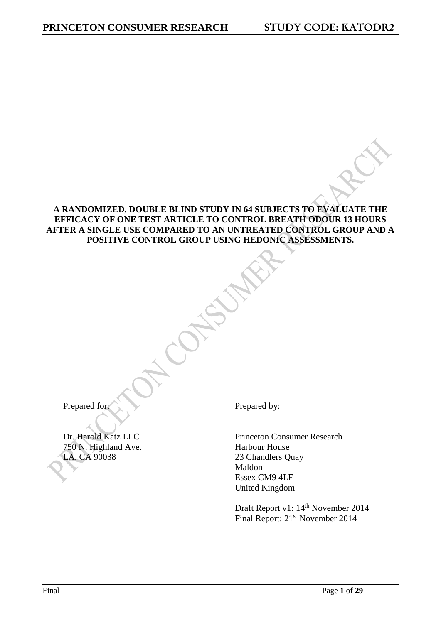# **A RANDOMIZED, DOUBLE BLIND STUDY IN 64 SUBJECTS TO EVALUATE THE EFFICACY OF ONE TEST ARTICLE TO CONTROL BREATH ODOUR 13 HOURS AFTER A SINGLE USE COMPARED TO AN UNTREATED CONTROL GROUP AND A POSITIVE CONTROL GROUP USING HEDONIC ASSESSMENTS.**

Prepared for:

Dr. Harold Katz LLC 750 N. Highland Ave. LA, CA 90038

Prepared by:

Princeton Consumer Research Harbour House 23 Chandlers Quay Maldon Essex CM9 4LF United Kingdom

Draft Report v1:  $14<sup>th</sup>$  November 2014 Final Report: 21<sup>st</sup> November 2014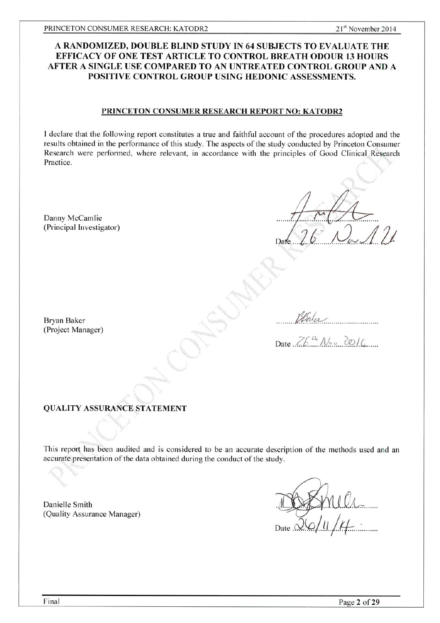# A RANDOMIZED, DOUBLE BLIND STUDY IN 64 SUBJECTS TO EVALUATE THE **EFFICACY OF ONE TEST ARTICLE TO CONTROL BREATH ODOUR 13 HOURS** AFTER A SINGLE USE COMPARED TO AN UNTREATED CONTROL GROUP AND A POSITIVE CONTROL GROUP USING HEDONIC ASSESSMENTS.

# PRINCETON CONSUMER RESEARCH REPORT NO: KATODR2

I declare that the following report constitutes a true and faithful account of the procedures adopted and the results obtained in the performance of this study. The aspects of the study conducted by Princeton Consumer Research were performed, where relevant, in accordance with the principles of Good Clinical Research Practice.

Danny McCamlie (Principal Investigator)

**Bryan Baker** (Project Manager)

Date

Wake

Date  $Zh^{u}$  Nov 2014

# **QUALITY ASSURANCE STATEMENT**

This report has been audited and is considered to be an accurate description of the methods used and an accurate presentation of the data obtained during the conduct of the study.

Danielle Smith (Quality Assurance Manager)

Date .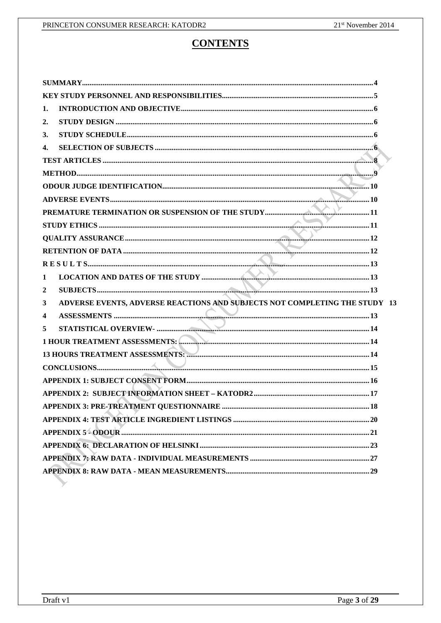# **CONTENTS**

| 1.             |                                                                            |  |
|----------------|----------------------------------------------------------------------------|--|
| 2.             |                                                                            |  |
| 3.             |                                                                            |  |
| $\mathbf{4}$ . |                                                                            |  |
|                |                                                                            |  |
|                |                                                                            |  |
|                |                                                                            |  |
|                |                                                                            |  |
|                |                                                                            |  |
|                |                                                                            |  |
|                |                                                                            |  |
|                |                                                                            |  |
|                |                                                                            |  |
| $\mathbf{1}$   |                                                                            |  |
| $\overline{2}$ |                                                                            |  |
| 3              | ADVERSE EVENTS, ADVERSE REACTIONS AND SUBJECTS NOT COMPLETING THE STUDY 13 |  |
| 4              |                                                                            |  |
| 5              |                                                                            |  |
|                |                                                                            |  |
|                |                                                                            |  |
|                |                                                                            |  |
|                |                                                                            |  |
|                |                                                                            |  |
|                |                                                                            |  |
|                |                                                                            |  |
|                |                                                                            |  |
|                |                                                                            |  |
|                |                                                                            |  |
|                |                                                                            |  |
|                |                                                                            |  |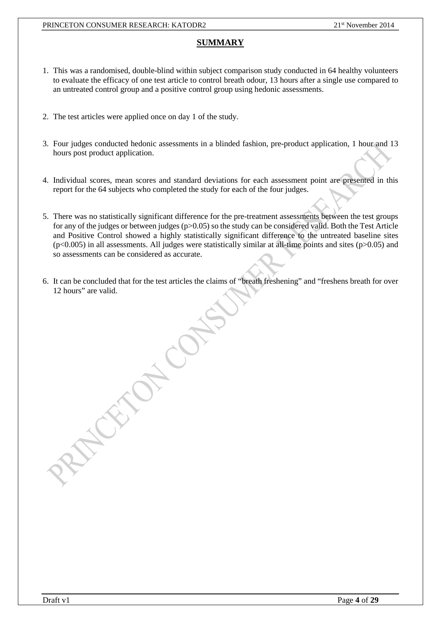# **SUMMARY**

- <span id="page-3-0"></span>1. This was a randomised, double-blind within subject comparison study conducted in 64 healthy volunteers to evaluate the efficacy of one test article to control breath odour, 13 hours after a single use compared to an untreated control group and a positive control group using hedonic assessments.
- 2. The test articles were applied once on day 1 of the study.
- 3. Four judges conducted hedonic assessments in a blinded fashion, pre-product application, 1 hour and 13 hours post product application.
- 4. Individual scores, mean scores and standard deviations for each assessment point are presented in this report for the 64 subjects who completed the study for each of the four judges.
- 5. There was no statistically significant difference for the pre-treatment assessments between the test groups for any of the judges or between judges (p>0.05) so the study can be considered valid. Both the Test Article and Positive Control showed a highly statistically significant difference to the untreated baseline sites (p<0.005) in all assessments. All judges were statistically similar at all-time points and sites (p>0.05) and so assessments can be considered as accurate.
- 6. It can be concluded that for the test articles the claims of "breath freshening" and "freshens breath for over 12 hours" are valid.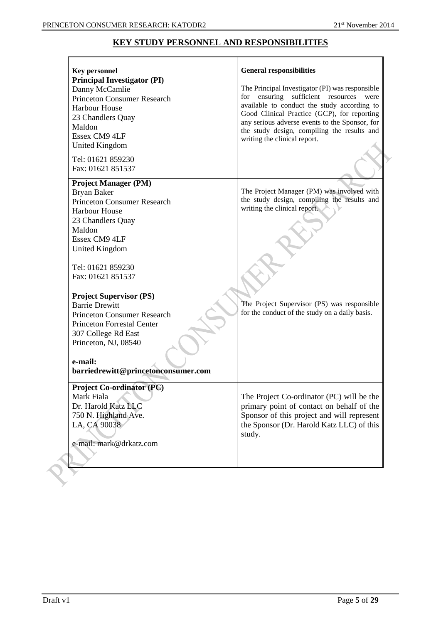# **KEY STUDY PERSONNEL AND RESPONSIBILITIES**

<span id="page-4-0"></span>

| <b>Key personnel</b>                                                                                                                                                                                                                | <b>General responsibilities</b>                                                                                                                                                                                                                                                                                                |
|-------------------------------------------------------------------------------------------------------------------------------------------------------------------------------------------------------------------------------------|--------------------------------------------------------------------------------------------------------------------------------------------------------------------------------------------------------------------------------------------------------------------------------------------------------------------------------|
| <b>Principal Investigator (PI)</b><br>Danny McCamlie<br><b>Princeton Consumer Research</b><br><b>Harbour House</b><br>23 Chandlers Quay<br>Maldon<br>Essex CM9 4LF<br><b>United Kingdom</b>                                         | The Principal Investigator (PI) was responsible<br>ensuring sufficient resources<br>for<br>were<br>available to conduct the study according to<br>Good Clinical Practice (GCP), for reporting<br>any serious adverse events to the Sponsor, for<br>the study design, compiling the results and<br>writing the clinical report. |
| Tel: 01621 859230<br>Fax: 01621 851537                                                                                                                                                                                              |                                                                                                                                                                                                                                                                                                                                |
| <b>Project Manager (PM)</b><br>Bryan Baker<br><b>Princeton Consumer Research</b><br><b>Harbour House</b><br>23 Chandlers Quay<br>Maldon<br>Essex CM9 4LF<br><b>United Kingdom</b><br>Tel: 01621 859230<br>Fax: 01621 851537         | The Project Manager (PM) was involved with<br>the study design, compiling the results and<br>writing the clinical report.                                                                                                                                                                                                      |
| <b>Project Supervisor (PS)</b><br><b>Barrie Drewitt</b><br><b>Princeton Consumer Research</b><br><b>Princeton Forrestal Center</b><br>307 College Rd East<br>Princeton, NJ, 08540<br>e-mail:<br>barriedrewitt@princetonconsumer.com | The Project Supervisor (PS) was responsible<br>for the conduct of the study on a daily basis.                                                                                                                                                                                                                                  |
| <b>Project Co-ordinator (PC)</b><br>Mark Fiala<br>Dr. Harold Katz LLC<br>750 N. Highland Ave.<br>LA, CA 90038<br>e-mail: mark@drkatz.com                                                                                            | The Project Co-ordinator (PC) will be the<br>primary point of contact on behalf of the<br>Sponsor of this project and will represent<br>the Sponsor (Dr. Harold Katz LLC) of this<br>study.                                                                                                                                    |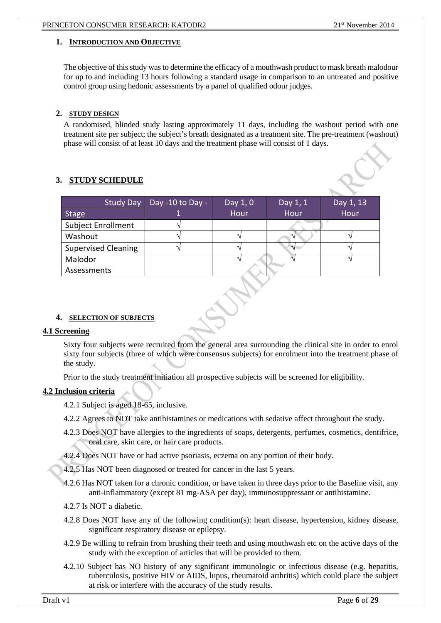# <span id="page-5-0"></span>**1. INTRODUCTION AND OBJECTIVE**

The objective of this study was to determine the efficacy of a mouthwash product to mask breath malodour for up to and including 13 hours following a standard usage in comparison to an untreated and positive control group using hedonic assessments by a panel of qualified odour judges.

# <span id="page-5-1"></span>**2. STUDY DESIGN**

A randomised, blinded study lasting approximately 11 days, including the washout period with one treatment site per subject; the subject's breath designated as a treatment site. The pre-treatment (washout) phase will consist of at least 10 days and the treatment phase will consist of 1 days.

# <span id="page-5-2"></span>**3. STUDY SCHEDULE**

| <b>Study Day</b><br><b>Stage</b> | Day -10 to Day - | Day 1, 0<br>Hour | Day 1, 1<br>Hour | Day 1, 13<br>Hour |
|----------------------------------|------------------|------------------|------------------|-------------------|
| Subject Enrollment               |                  |                  |                  |                   |
| Washout                          |                  |                  |                  |                   |
| <b>Supervised Cleaning</b>       |                  |                  |                  |                   |
| Malodor                          |                  |                  |                  |                   |
| Assessments                      |                  |                  |                  |                   |

#### <span id="page-5-3"></span>**4. SELECTION OF SUBJECTS**

#### **4.1 Screening**

Sixty four subjects were recruited from the general area surrounding the clinical site in order to enrol sixty four subjects (three of which were consensus subjects) for enrolment into the treatment phase of the study.

Prior to the study treatment initiation all prospective subjects will be screened for eligibility.

# **4.2 Inclusion criteria**

- 4.2.1 Subject is aged 18-65, inclusive.
- 4.2.2 Agrees to NOT take antihistamines or medications with sedative affect throughout the study.
- 4.2.3 Does NOT have allergies to the ingredients of soaps, detergents, perfumes, cosmetics, dentifrice, oral care, skin care, or hair care products.
- 4.2.4 Does NOT have or had active psoriasis, eczema on any portion of their body.
- 4.2.5 Has NOT been diagnosed or treated for cancer in the last 5 years.
- 4.2.6 Has NOT taken for a chronic condition, or have taken in three days prior to the Baseline visit, any anti-inflammatory (except 81 mg-ASA per day), immunosuppressant or antihistamine.
- 4.2.7 Is NOT a diabetic.
- 4.2.8 Does NOT have any of the following condition(s): heart disease, hypertension, kidney disease, significant respiratory disease or epilepsy.
- 4.2.9 Be willing to refrain from brushing their teeth and using mouthwash etc on the active days of the study with the exception of articles that will be provided to them.
- 4.2.10 Subject has NO history of any significant immunologic or infectious disease (e.g. hepatitis, tuberculosis, positive HIV or AIDS, lupus, rheumatoid arthritis) which could place the subject at risk or interfere with the accuracy of the study results.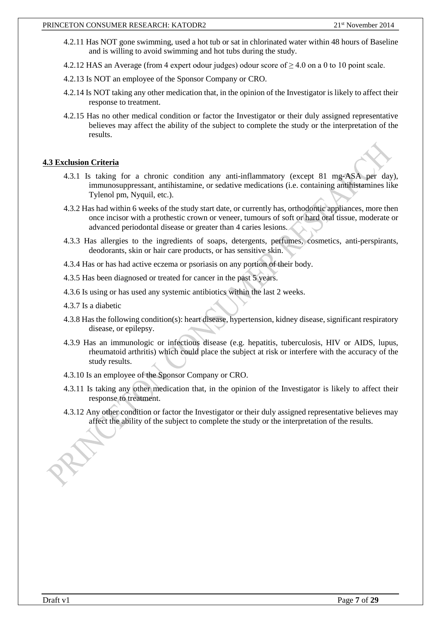#### PRINCETON CONSUMER RESEARCH: KATODR2 21st November 2014

- 4.2.11 Has NOT gone swimming, used a hot tub or sat in chlorinated water within 48 hours of Baseline and is willing to avoid swimming and hot tubs during the study.
- 4.2.12 HAS an Average (from 4 expert odour judges) odour score of  $\geq$  4.0 on a 0 to 10 point scale.
- 4.2.13 Is NOT an employee of the Sponsor Company or CRO.
- 4.2.14 Is NOT taking any other medication that, in the opinion of the Investigator is likely to affect their response to treatment.
- 4.2.15 Has no other medical condition or factor the Investigator or their duly assigned representative believes may affect the ability of the subject to complete the study or the interpretation of the results.

# **4.3 Exclusion Criteria**

- 4.3.1 Is taking for a chronic condition any anti-inflammatory (except 81 mg-ASA per day), immunosuppressant, antihistamine, or sedative medications (i.e. containing antihistamines like Tylenol pm, Nyquil, etc.).
- 4.3.2 Has had within 6 weeks of the study start date, or currently has, orthodontic appliances, more then once incisor with a prothestic crown or veneer, tumours of soft or hard oral tissue, moderate or advanced periodontal disease or greater than 4 caries lesions.
- 4.3.3 Has allergies to the ingredients of soaps, detergents, perfumes, cosmetics, anti-perspirants, deodorants, skin or hair care products, or has sensitive skin.
- 4.3.4 Has or has had active eczema or psoriasis on any portion of their body.
- 4.3.5 Has been diagnosed or treated for cancer in the past 5 years.
- 4.3.6 Is using or has used any systemic antibiotics within the last 2 weeks.
- 4.3.7 Is a diabetic
- 4.3.8 Has the following condition(s): heart disease, hypertension, kidney disease, significant respiratory disease, or epilepsy.
- 4.3.9 Has an immunologic or infectious disease (e.g. hepatitis, tuberculosis, HIV or AIDS, lupus, rheumatoid arthritis) which could place the subject at risk or interfere with the accuracy of the study results.
- 4.3.10 Is an employee of the Sponsor Company or CRO.
- 4.3.11 Is taking any other medication that, in the opinion of the Investigator is likely to affect their response to treatment.
- 4.3.12 Any other condition or factor the Investigator or their duly assigned representative believes may affect the ability of the subject to complete the study or the interpretation of the results.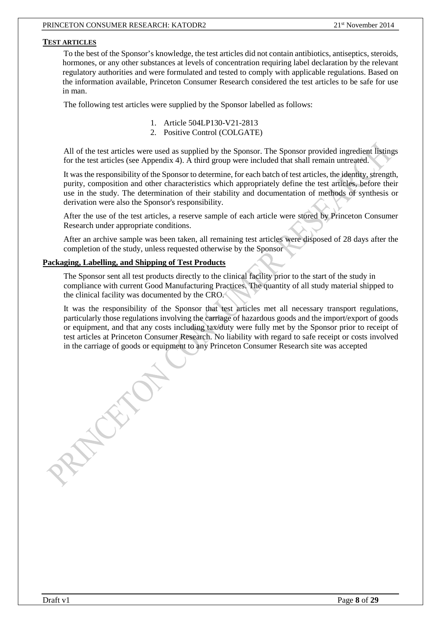#### <span id="page-7-0"></span>**TEST ARTICLES**

To the best of the Sponsor's knowledge, the test articles did not contain antibiotics, antiseptics, steroids, hormones, or any other substances at levels of concentration requiring label declaration by the relevant regulatory authorities and were formulated and tested to comply with applicable regulations. Based on the information available, Princeton Consumer Research considered the test articles to be safe for use in man.

The following test articles were supplied by the Sponsor labelled as follows:

- 1. Article 504LP130-V21-2813
- 2. Positive Control (COLGATE)

All of the test articles were used as supplied by the Sponsor. The Sponsor provided ingredient listings for the test articles (see Appendix 4). A third group were included that shall remain untreated.

It was the responsibility of the Sponsor to determine, for each batch of test articles, the identity, strength, purity, composition and other characteristics which appropriately define the test articles, before their use in the study. The determination of their stability and documentation of methods of synthesis or derivation were also the Sponsor's responsibility.

After the use of the test articles, a reserve sample of each article were stored by Princeton Consumer Research under appropriate conditions.

After an archive sample was been taken, all remaining test articles were disposed of 28 days after the completion of the study, unless requested otherwise by the Sponsor

## **Packaging, Labelling, and Shipping of Test Products**

The Sponsor sent all test products directly to the clinical facility prior to the start of the study in compliance with current Good Manufacturing Practices. The quantity of all study material shipped to the clinical facility was documented by the CRO.

It was the responsibility of the Sponsor that test articles met all necessary transport regulations, particularly those regulations involving the carriage of hazardous goods and the import/export of goods or equipment, and that any costs including tax/duty were fully met by the Sponsor prior to receipt of test articles at Princeton Consumer Research. No liability with regard to safe receipt or costs involved in the carriage of goods or equipment to any Princeton Consumer Research site was accepted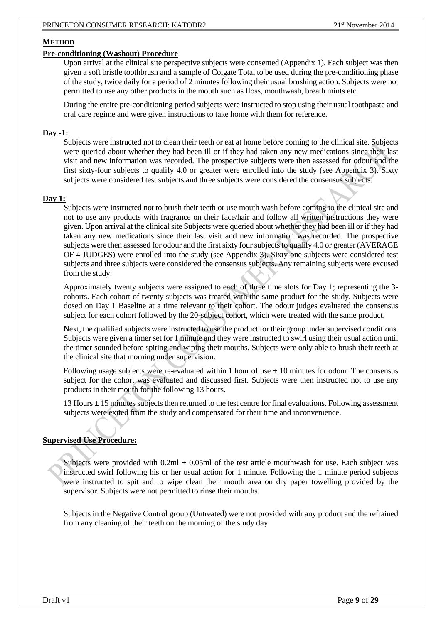### <span id="page-8-0"></span>**METHOD**

#### **Pre-conditioning (Washout) Procedure**

Upon arrival at the clinical site perspective subjects were consented (Appendix 1). Each subject was then given a soft bristle toothbrush and a sample of Colgate Total to be used during the pre-conditioning phase of the study, twice daily for a period of 2 minutes following their usual brushing action. Subjects were not permitted to use any other products in the mouth such as floss, mouthwash, breath mints etc.

During the entire pre-conditioning period subjects were instructed to stop using their usual toothpaste and oral care regime and were given instructions to take home with them for reference.

# **Day -1:**

Subjects were instructed not to clean their teeth or eat at home before coming to the clinical site. Subjects were queried about whether they had been ill or if they had taken any new medications since their last visit and new information was recorded. The prospective subjects were then assessed for odour and the first sixty-four subjects to qualify 4.0 or greater were enrolled into the study (see Appendix 3). Sixty subjects were considered test subjects and three subjects were considered the consensus subjects.

# **Day 1:**

Subjects were instructed not to brush their teeth or use mouth wash before coming to the clinical site and not to use any products with fragrance on their face/hair and follow all written instructions they were given. Upon arrival at the clinical site Subjects were queried about whether they had been ill or if they had taken any new medications since their last visit and new information was recorded. The prospective subjects were then assessed for odour and the first sixty foursubjects to qualify 4.0 or greater (AVERAGE OF 4 JUDGES) were enrolled into the study (see Appendix 3). Sixty-one subjects were considered test subjects and three subjects were considered the consensus subjects. Any remaining subjects were excused from the study.

Approximately twenty subjects were assigned to each of three time slots for Day 1; representing the 3 cohorts. Each cohort of twenty subjects was treated with the same product for the study. Subjects were dosed on Day 1 Baseline at a time relevant to their cohort. The odour judges evaluated the consensus subject for each cohort followed by the 20-subject cohort, which were treated with the same product.

Next, the qualified subjects were instructed to use the product for their group under supervised conditions. Subjects were given a timer set for 1 minute and they were instructed to swirl using their usual action until the timer sounded before spiting and wiping their mouths. Subjects were only able to brush their teeth at the clinical site that morning under supervision.

Following usage subjects were re-evaluated within 1 hour of use  $\pm$  10 minutes for odour. The consensus subject for the cohort was evaluated and discussed first. Subjects were then instructed not to use any products in their mouth for the following 13 hours.

13 Hours  $\pm$  15 minutes subjects then returned to the test centre for final evaluations. Following assessment subjects were exited from the study and compensated for their time and inconvenience.

# **Supervised Use Procedure:**

Subjects were provided with  $0.2$ ml  $\pm 0.05$ ml of the test article mouthwash for use. Each subject was instructed swirl following his or her usual action for 1 minute. Following the 1 minute period subjects were instructed to spit and to wipe clean their mouth area on dry paper towelling provided by the supervisor. Subjects were not permitted to rinse their mouths.

Subjects in the Negative Control group (Untreated) were not provided with any product and the refrained from any cleaning of their teeth on the morning of the study day.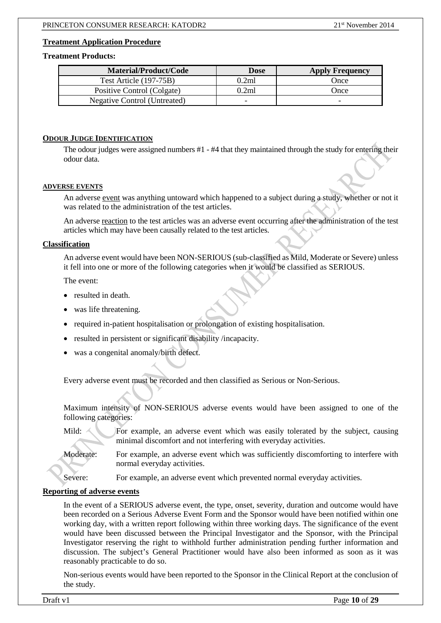# **Treatment Application Procedure**

#### **Treatment Products:**

| <b>Material/Product/Code</b>        | Dose                     | <b>Apply Frequency</b> |
|-------------------------------------|--------------------------|------------------------|
| Test Article (197-75B)              | 0.2ml                    | Once                   |
| Positive Control (Colgate)          | 0.2ml                    | Once                   |
| <b>Negative Control (Untreated)</b> | $\overline{\phantom{0}}$ | -                      |

# <span id="page-9-0"></span>**ODOUR JUDGE IDENTIFICATION**

The odour judges were assigned numbers #1 - #4 that they maintained through the study for entering their odour data.

#### <span id="page-9-1"></span>**ADVERSE EVENTS**

An adverse event was anything untoward which happened to a subject during a study, whether or not it was related to the administration of the test articles.

An adverse reaction to the test articles was an adverse event occurring after the administration of the test articles which may have been causally related to the test articles.

#### **Classification**

An adverse event would have been NON-SERIOUS (sub-classified as Mild, Moderate or Severe) unless it fell into one or more of the following categories when it would be classified as SERIOUS.

The event:

- resulted in death.
- was life threatening.
- required in-patient hospitalisation or prolongation of existing hospitalisation.
- resulted in persistent or significant disability /incapacity.
- was a congenital anomaly/birth defect.

Every adverse event must be recorded and then classified as Serious or Non-Serious.

Maximum intensity of NON-SERIOUS adverse events would have been assigned to one of the following categories:

Mild: For example, an adverse event which was easily tolerated by the subject, causing minimal discomfort and not interfering with everyday activities.

Moderate: For example, an adverse event which was sufficiently discomforting to interfere with normal everyday activities.

Severe: For example, an adverse event which prevented normal everyday activities.

#### **Reporting of adverse events**

In the event of a SERIOUS adverse event, the type, onset, severity, duration and outcome would have been recorded on a Serious Adverse Event Form and the Sponsor would have been notified within one working day, with a written report following within three working days. The significance of the event would have been discussed between the Principal Investigator and the Sponsor, with the Principal Investigator reserving the right to withhold further administration pending further information and discussion. The subject's General Practitioner would have also been informed as soon as it was reasonably practicable to do so.

Non-serious events would have been reported to the Sponsor in the Clinical Report at the conclusion of the study.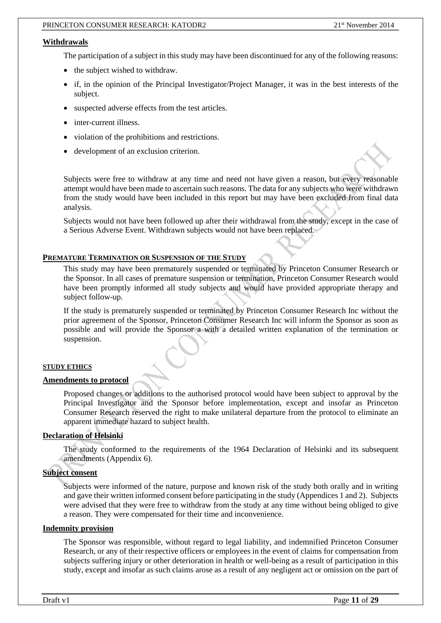#### **Withdrawals**

The participation of a subject in this study may have been discontinued for any of the following reasons:

- the subject wished to withdraw.
- if, in the opinion of the Principal Investigator/Project Manager, it was in the best interests of the subject.
- suspected adverse effects from the test articles.
- inter-current illness.
- violation of the prohibitions and restrictions.
- development of an exclusion criterion.

Subjects were free to withdraw at any time and need not have given a reason, but every reasonable attempt would have been made to ascertain such reasons. The data for any subjects who were withdrawn from the study would have been included in this report but may have been excluded from final data analysis.

Subjects would not have been followed up after their withdrawal from the study, except in the case of a Serious Adverse Event. Withdrawn subjects would not have been replaced.

#### <span id="page-10-0"></span>**PREMATURE TERMINATION OR SUSPENSION OF THE STUDY**

This study may have been prematurely suspended or terminated by Princeton Consumer Research or the Sponsor. In all cases of premature suspension or termination, Princeton Consumer Research would have been promptly informed all study subjects and would have provided appropriate therapy and subject follow-up.

If the study is prematurely suspended or terminated by Princeton Consumer Research Inc without the prior agreement of the Sponsor, Princeton Consumer Research Inc will inform the Sponsor as soon as possible and will provide the Sponsor a with a detailed written explanation of the termination or suspension.

# <span id="page-10-1"></span>**STUDY ETHICS**

#### **Amendments to protocol**

Proposed changes or additions to the authorised protocol would have been subject to approval by the Principal Investigator and the Sponsor before implementation, except and insofar as Princeton Consumer Research reserved the right to make unilateral departure from the protocol to eliminate an apparent immediate hazard to subject health.

#### **Declaration of Helsinki**

The study conformed to the requirements of the 1964 Declaration of Helsinki and its subsequent amendments (Appendix 6).

# **Subject consent**

Subjects were informed of the nature, purpose and known risk of the study both orally and in writing and gave their written informed consent before participating in the study (Appendices 1 and 2). Subjects were advised that they were free to withdraw from the study at any time without being obliged to give a reason. They were compensated for their time and inconvenience.

#### **Indemnity provision**

The Sponsor was responsible, without regard to legal liability, and indemnified Princeton Consumer Research, or any of their respective officers or employees in the event of claims for compensation from subjects suffering injury or other deterioration in health or well-being as a result of participation in this study, except and insofar as such claims arose as a result of any negligent act or omission on the part of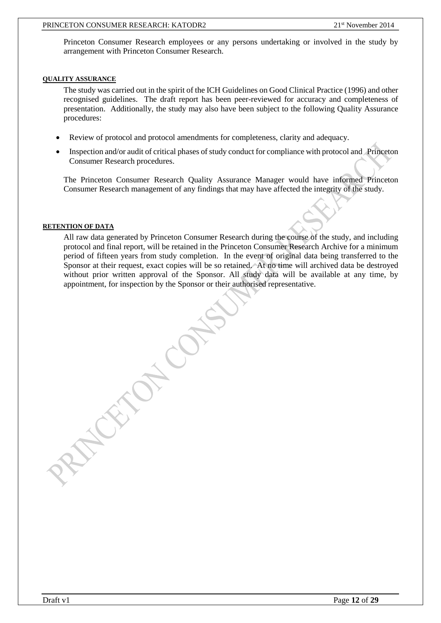#### PRINCETON CONSUMER RESEARCH: KATODR2 21st November 2014

Princeton Consumer Research employees or any persons undertaking or involved in the study by arrangement with Princeton Consumer Research.

#### <span id="page-11-0"></span>**QUALITY ASSURANCE**

The study was carried out in the spirit of the ICH Guidelines on Good Clinical Practice (1996) and other recognised guidelines. The draft report has been peer-reviewed for accuracy and completeness of presentation. Additionally, the study may also have been subject to the following Quality Assurance procedures:

- Review of protocol and protocol amendments for completeness, clarity and adequacy.
- Inspection and/or audit of critical phases of study conduct for compliance with protocol and Princeton Consumer Research procedures.

The Princeton Consumer Research Quality Assurance Manager would have informed Princeton Consumer Research management of any findings that may have affected the integrity of the study.

#### <span id="page-11-1"></span>**RETENTION OF DATA**

All raw data generated by Princeton Consumer Research during the course of the study, and including protocol and final report, will be retained in the Princeton Consumer Research Archive for a minimum period of fifteen years from study completion. In the event of original data being transferred to the Sponsor at their request, exact copies will be so retained. At no time will archived data be destroyed without prior written approval of the Sponsor. All study data will be available at any time, by appointment, for inspection by the Sponsor or their authorised representative.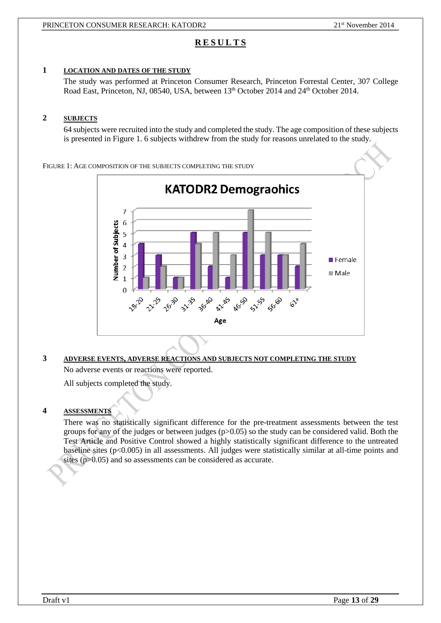# **R E S U L T S**

# <span id="page-12-1"></span><span id="page-12-0"></span>**1 LOCATION AND DATES OF THE STUDY**

The study was performed at Princeton Consumer Research, Princeton Forrestal Center, 307 College Road East, Princeton, NJ, 08540, USA, between 13<sup>th</sup> October 2014 and 24<sup>th</sup> October 2014.

# <span id="page-12-2"></span>**2 SUBJECTS**

64 subjects were recruited into the study and completed the study. The age composition of these subjects is presented in Figure 1. 6 subjects withdrew from the study for reasons unrelated to the study.

# FIGURE 1: AGE COMPOSITION OF THE SUBJECTS COMPLETING THE STUDY **KATODR2 Demographics** 7 Number of Subjects 6 5  $\overline{4}$  $\overline{3}$ Female  $\overline{2}$ **■** Male  $\mathbf{1}$  $\overline{0}$ **36-40 41-45 2820 2123 2639** 4650 555 5660 సీ Age

# <span id="page-12-3"></span>**3 ADVERSE EVENTS, ADVERSE REACTIONS AND SUBJECTS NOT COMPLETING THE STUDY** No adverse events or reactions were reported.

All subjects completed the study.

# <span id="page-12-4"></span>**4 ASSESSMENTS**

There was no statistically significant difference for the pre-treatment assessments between the test groups for any of the judges or between judges (p>0.05) so the study can be considered valid. Both the Test Article and Positive Control showed a highly statistically significant difference to the untreated baseline sites (p<0.005) in all assessments. All judges were statistically similar at all-time points and sites (p>0.05) and so assessments can be considered as accurate.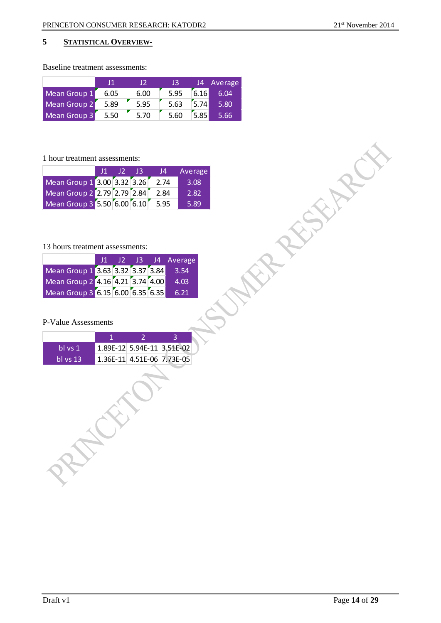## <span id="page-13-0"></span>**5 STATISTICAL OVERVIEW-**

Baseline treatment assessments:

|              | 11   | J2   | 43   | 4    | Average |
|--------------|------|------|------|------|---------|
| Mean Group 1 | 6.05 | 6.00 | 5.95 | 6.16 | 6.04    |
| Mean Group 2 | 5.89 | 5.95 | 5.63 | 5.74 | 5.80    |
| Mean Group 3 | 5.50 | 5.70 | 5.60 | 5.85 | 5.66    |

<span id="page-13-1"></span>1 hour treatment assessments:

|                                  | $J1$ $J2$ $J3$ | 14 | Average |
|----------------------------------|----------------|----|---------|
| Mean Group 1 3.00 3.32 3.26 2.74 |                |    | 3.08    |
| Mean Group 2 2.79 2.79 2.84 2.84 |                |    | 2.82    |
| Mean Group 3 5.50 6.00 6.10 5.95 |                |    | 5.89    |

# <span id="page-13-2"></span>13 hours treatment assessments:

|                                       |  |  | J1 J2 J3 J4 Average |
|---------------------------------------|--|--|---------------------|
| Mean Group 1 3.63 3.32 3.37 3.84 3.54 |  |  |                     |
| Mean Group 2 4.16 4.21 3.74 4.00      |  |  | 4.03                |
| Mean Group 3 6.15 6.00 6.35 6.35 6.21 |  |  |                     |

#### P-Value Assessments

| 'bl vs 1                | 1.89E-12 5.94E-11 3.51E-02 |  |
|-------------------------|----------------------------|--|
| $\overline{b}$ l vs 13. | 1.36E-11 4.51E-06 7.73E-05 |  |

ENDT S

**MARKETHALLY** 

**ERAN**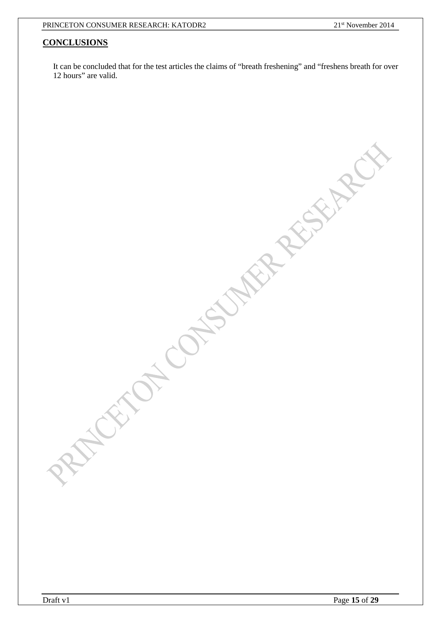# <span id="page-14-0"></span>**CONCLUSIONS**

It can be concluded that for the test articles the claims of "breath freshening" and "freshens breath for over 12 hours" are valid.

FITON CONSUMERED FREE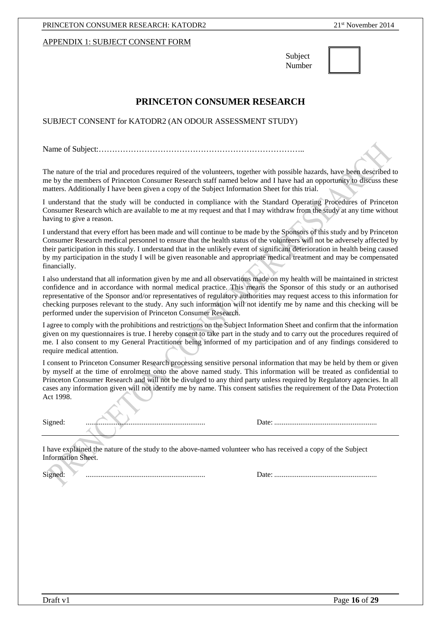#### PRINCETON CONSUMER RESEARCH: KATODR2 21st November 2014

# <span id="page-15-0"></span>APPENDIX 1: SUBJECT CONSENT FORM

Subject Number

# **PRINCETON CONSUMER RESEARCH**

# SUBJECT CONSENT for KATODR2 (AN ODOUR ASSESSMENT STUDY)

Name of Subject:…………………………………………………………………..

The nature of the trial and procedures required of the volunteers, together with possible hazards, have been described to me by the members of Princeton Consumer Research staff named below and I have had an opportunity to discuss these matters. Additionally I have been given a copy of the Subject Information Sheet for this trial.

I understand that the study will be conducted in compliance with the Standard Operating Procedures of Princeton Consumer Research which are available to me at my request and that I may withdraw from the study at any time without having to give a reason.

I understand that every effort has been made and will continue to be made by the Sponsors of this study and by Princeton Consumer Research medical personnel to ensure that the health status of the volunteers will not be adversely affected by their participation in this study. I understand that in the unlikely event of significant deterioration in health being caused by my participation in the study I will be given reasonable and appropriate medical treatment and may be compensated financially.

I also understand that all information given by me and all observations made on my health will be maintained in strictest confidence and in accordance with normal medical practice. This means the Sponsor of this study or an authorised representative of the Sponsor and/or representatives of regulatory authorities may request access to this information for checking purposes relevant to the study. Any such information will not identify me by name and this checking will be performed under the supervision of Princeton Consumer Research.

I agree to comply with the prohibitions and restrictions on the Subject Information Sheet and confirm that the information given on my questionnaires is true. I hereby consent to take part in the study and to carry out the procedures required of me. I also consent to my General Practitioner being informed of my participation and of any findings considered to require medical attention.

I consent to Princeton Consumer Research processing sensitive personal information that may be held by them or given by myself at the time of enrolment onto the above named study. This information will be treated as confidential to Princeton Consumer Research and will not be divulged to any third party unless required by Regulatory agencies. In all cases any information given will not identify me by name. This consent satisfies the requirement of the Data Protection Act 1998.

Signed: ................................................................ Date: .......................................................

I have explained the nature of the study to the above-named volunteer who has received a copy of the Subject

Information Sheet.

Signed: ................................................................ Date: .......................................................

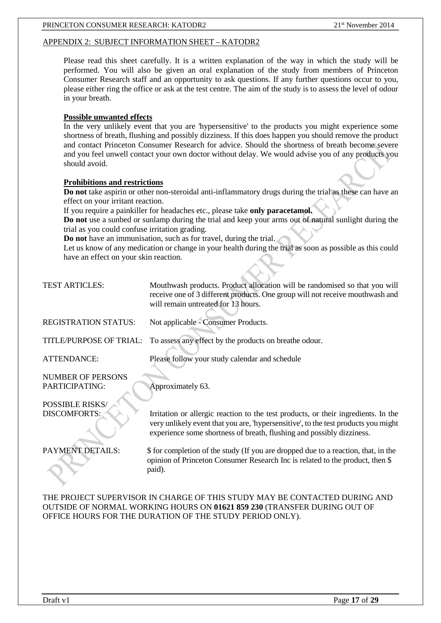# <span id="page-16-0"></span>APPENDIX 2: SUBJECT INFORMATION SHEET – KATODR2

Please read this sheet carefully. It is a written explanation of the way in which the study will be performed. You will also be given an oral explanation of the study from members of Princeton Consumer Research staff and an opportunity to ask questions. If any further questions occur to you, please either ring the office or ask at the test centre. The aim of the study is to assess the level of odour in your breath.

# **Possible unwanted effects**

In the very unlikely event that you are 'hypersensitive' to the products you might experience some shortness of breath, flushing and possibly dizziness. If this does happen you should remove the product and contact Princeton Consumer Research for advice. Should the shortness of breath become severe and you feel unwell contact your own doctor without delay. We would advise you of any products you should avoid.

# **Prohibitions and restrictions**

**Do not** take aspirin or other non-steroidal anti-inflammatory drugs during the trial as these can have an effect on your irritant reaction.

If you require a painkiller for headaches etc., please take **only paracetamol.**

**Do not** use a sunbed or sunlamp during the trial and keep your arms out of natural sunlight during the trial as you could confuse irritation grading.

**Do not** have an immunisation, such as for travel, during the trial.

Let us know of any medication or change in your health during the trial as soon as possible as this could have an effect on your skin reaction.

| <b>TEST ARTICLES:</b>                         | Mouthwash products. Product allocation will be randomised so that you will<br>receive one of 3 different products. One group will not receive mouthwash and<br>will remain untreated for 13 hours.                                                |
|-----------------------------------------------|---------------------------------------------------------------------------------------------------------------------------------------------------------------------------------------------------------------------------------------------------|
| <b>REGISTRATION STATUS:</b>                   | Not applicable - Consumer Products.                                                                                                                                                                                                               |
| TITLE/PURPOSE OF TRIAL:                       | To assess any effect by the products on breathe odour.                                                                                                                                                                                            |
| <b>ATTENDANCE:</b>                            | Please follow your study calendar and schedule                                                                                                                                                                                                    |
| <b>NUMBER OF PERSONS</b><br>PARTICIPATING:    | Approximately 63.                                                                                                                                                                                                                                 |
| <b>POSSIBLE RISKS/</b><br><b>DISCOMFORTS:</b> | Irritation or allergic reaction to the test products, or their ingredients. In the<br>very unlikely event that you are, 'hypersensitive', to the test products you might<br>experience some shortness of breath, flushing and possibly dizziness. |
| PAYMENT DETAILS:                              | \$ for completion of the study (If you are dropped due to a reaction, that, in the<br>opinion of Princeton Consumer Research Inc is related to the product, then \$<br>paid).                                                                     |

THE PROJECT SUPERVISOR IN CHARGE OF THIS STUDY MAY BE CONTACTED DURING AND OUTSIDE OF NORMAL WORKING HOURS ON **01621 859 230** (TRANSFER DURING OUT OF OFFICE HOURS FOR THE DURATION OF THE STUDY PERIOD ONLY).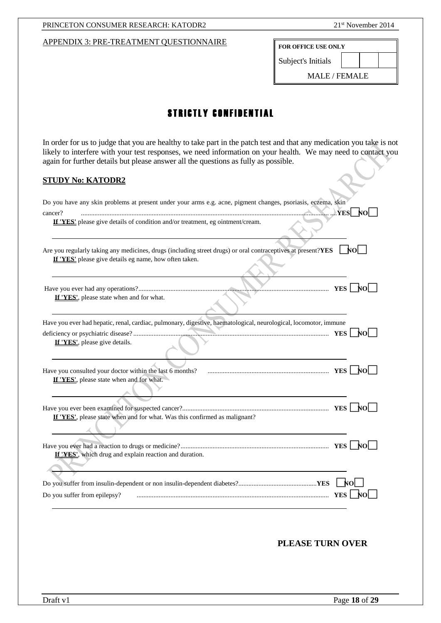# PRINCETON CONSUMER RESEARCH: KATODR2 21st November 2014

# <span id="page-17-0"></span>APPENDIX 3: PRE-TREATMENT QUESTIONNAIRE

| <b>FOR OFFICE USE ONLY</b> |  |  |
|----------------------------|--|--|
| Subject's Initials         |  |  |
| <b>MALE/FEMALE</b>         |  |  |

# **STRICTLY CONFIDENTIAL**

In order for us to judge that you are healthy to take part in the patch test and that any medication you take is not likely to interfere with your test responses, we need information on your health. We may need to contact you again for further details but please answer all the questions as fully as possible.

# **STUDY No: KATODR2**

| Do you have any skin problems at present under your arms e.g. acne, pigment changes, psoriasis, eczema, skin                                                           |              |
|------------------------------------------------------------------------------------------------------------------------------------------------------------------------|--------------|
| cancer?<br>If 'YES' please give details of condition and/or treatment, eg ointment/cream.                                                                              |              |
| Are you regularly taking any medicines, drugs (including street drugs) or oral contraceptives at present?YES<br>If 'YES' please give details eg name, how often taken. | $\lfloor$ NO |
| If 'YES', please state when and for what.                                                                                                                              |              |
| Have you ever had hepatic, renal, cardiac, pulmonary, digestive, haematological, neurological, locomotor, immune                                                       |              |
| If 'YES', please give details.                                                                                                                                         |              |
| Have you consulted your doctor within the last 6 months?<br>If 'YES', please state when and for what.                                                                  |              |
|                                                                                                                                                                        |              |
| If 'YES', please state when and for what. Was this confirmed as malignant?                                                                                             |              |
| If 'YES', which drug and explain reaction and duration.                                                                                                                |              |
| Do you suffer from epilepsy?                                                                                                                                           |              |
|                                                                                                                                                                        |              |

# **PLEASE TURN OVER**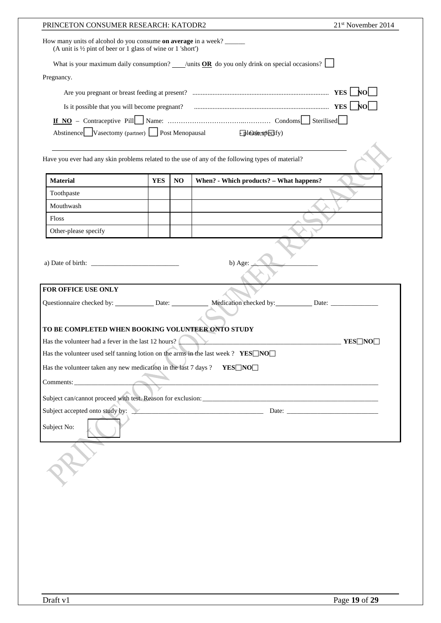| 21 <sup>st</sup> November 2014<br>PRINCETON CONSUMER RESEARCH: KATODR2                                                                                                                                                                                                                                           |                  |                                                                                                                       |  |  |
|------------------------------------------------------------------------------------------------------------------------------------------------------------------------------------------------------------------------------------------------------------------------------------------------------------------|------------------|-----------------------------------------------------------------------------------------------------------------------|--|--|
| How many units of alcohol do you consume on average in a week?<br>(A unit is 1/2 pint of beer or 1 glass of wine or 1 'short')                                                                                                                                                                                   |                  |                                                                                                                       |  |  |
|                                                                                                                                                                                                                                                                                                                  |                  | What is your maximum daily consumption? ____/units $OR$ do you only drink on special occasions? $\Box$                |  |  |
| Pregnancy.                                                                                                                                                                                                                                                                                                       |                  |                                                                                                                       |  |  |
|                                                                                                                                                                                                                                                                                                                  |                  |                                                                                                                       |  |  |
|                                                                                                                                                                                                                                                                                                                  |                  |                                                                                                                       |  |  |
|                                                                                                                                                                                                                                                                                                                  |                  |                                                                                                                       |  |  |
| Abstinence Vasectomy (partner) Post Menopausal Dleaster post                                                                                                                                                                                                                                                     |                  |                                                                                                                       |  |  |
|                                                                                                                                                                                                                                                                                                                  |                  |                                                                                                                       |  |  |
|                                                                                                                                                                                                                                                                                                                  |                  | Have you ever had any skin problems related to the use of any of the following types of material?                     |  |  |
| <b>Material</b>                                                                                                                                                                                                                                                                                                  | <b>YES</b><br>NO | When? - Which products? - What happens?                                                                               |  |  |
| Toothpaste                                                                                                                                                                                                                                                                                                       |                  |                                                                                                                       |  |  |
| Mouthwash                                                                                                                                                                                                                                                                                                        |                  |                                                                                                                       |  |  |
| Floss                                                                                                                                                                                                                                                                                                            |                  |                                                                                                                       |  |  |
| Other-please specify                                                                                                                                                                                                                                                                                             |                  |                                                                                                                       |  |  |
| a) Date of birth: $\frac{1}{2}$ birth: $\frac{1}{2}$ and $\frac{1}{2}$ and $\frac{1}{2}$ and $\frac{1}{2}$ and $\frac{1}{2}$ and $\frac{1}{2}$ and $\frac{1}{2}$ and $\frac{1}{2}$ and $\frac{1}{2}$ and $\frac{1}{2}$ and $\frac{1}{2}$ and $\frac{1}{2}$ and $\frac{1}{2}$ and $\frac{$<br>FOR OFFICE USE ONLY |                  | b) Age:                                                                                                               |  |  |
|                                                                                                                                                                                                                                                                                                                  |                  |                                                                                                                       |  |  |
|                                                                                                                                                                                                                                                                                                                  |                  |                                                                                                                       |  |  |
| TO BE COMPLETED WHEN BOOKING VOLUNTEER ONTO STUDY                                                                                                                                                                                                                                                                |                  |                                                                                                                       |  |  |
| Has the volunteer had a fever in the last 12 hours?                                                                                                                                                                                                                                                              |                  | <b>THE STATE OF STREET INCLUSION ASSESSED AT A 1990 FOR STREET INCLUSION AND THE STREET INCLUSION AND INCLUSION A</b> |  |  |
| Has the volunteer used self tanning lotion on the arms in the last week ? $YES\Box NO\Box$                                                                                                                                                                                                                       |                  |                                                                                                                       |  |  |
| Has the volunteer taken any new medication in the last 7 days ?                                                                                                                                                                                                                                                  |                  | $YES \Box NO \Box$                                                                                                    |  |  |
| Comments:                                                                                                                                                                                                                                                                                                        |                  |                                                                                                                       |  |  |
|                                                                                                                                                                                                                                                                                                                  |                  |                                                                                                                       |  |  |
| Subject accepted onto study by:<br><u> 1990 - Johann John Stone, mars et al. (</u>                                                                                                                                                                                                                               |                  |                                                                                                                       |  |  |
| Subject No:                                                                                                                                                                                                                                                                                                      |                  |                                                                                                                       |  |  |
|                                                                                                                                                                                                                                                                                                                  |                  |                                                                                                                       |  |  |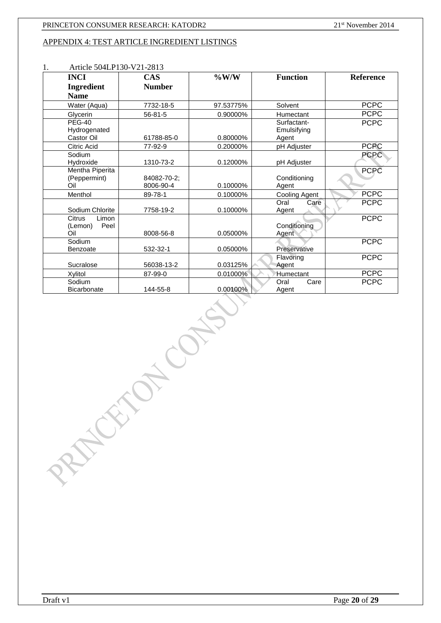# <span id="page-19-0"></span>APPENDIX 4: TEST ARTICLE INGREDIENT LISTINGS

## 1. Article 504LP130-V21-2813

| <b>INCI</b>     | <b>CAS</b>    | $\%$ W/W  | <b>Function</b> | <b>Reference</b> |
|-----------------|---------------|-----------|-----------------|------------------|
| Ingredient      | <b>Number</b> |           |                 |                  |
| <b>Name</b>     |               |           |                 |                  |
| Water (Aqua)    | 7732-18-5     | 97.53775% | Solvent         | <b>PCPC</b>      |
| Glycerin        | $56 - 81 - 5$ | 0.90000%  | Humectant       | <b>PCPC</b>      |
| <b>PEG-40</b>   |               |           | Surfactant-     | <b>PCPC</b>      |
| Hydrogenated    |               |           | Emulsifying     |                  |
| Castor Oil      | 61788-85-0    | 0.80000%  | Agent           |                  |
| Citric Acid     | 77-92-9       | 0.20000%  | pH Adjuster     | <b>PCPC</b>      |
| Sodium          |               |           |                 | <b>PCPC</b>      |
| Hydroxide       | 1310-73-2     | 0.12000%  | pH Adjuster     |                  |
| Mentha Piperita |               |           |                 | <b>PCPC</b>      |
| (Peppermint)    | 84082-70-2;   |           | Conditioning    |                  |
| Oil             | 8006-90-4     | 0.10000%  | Agent           |                  |
| Menthol         | 89-78-1       | 0.10000%  | Cooling Agent   | <b>PCPC</b>      |
|                 |               |           | Care<br>Oral    | <b>PCPC</b>      |
| Sodium Chlorite | 7758-19-2     | 0.10000%  | Agent           |                  |
| Citrus<br>Limon |               |           |                 | <b>PCPC</b>      |
| Peel<br>(Lemon) |               |           | Conditioning    |                  |
| Oil             | 8008-56-8     | 0.05000%  | Agent           |                  |
| Sodium          |               |           |                 | <b>PCPC</b>      |
| Benzoate        | 532-32-1      | 0.05000%  | Preservative    |                  |
|                 |               |           | Flavoring       | <b>PCPC</b>      |
| Sucralose       | 56038-13-2    | 0.03125%  | Agent           |                  |
| Xylitol         | 87-99-0       | 0.01000%  | Humectant       | <b>PCPC</b>      |
| Sodium          |               |           | Care<br>Oral    | <b>PCPC</b>      |
| Bicarbonate     | 144-55-8      | 0.00100%  | Agent           |                  |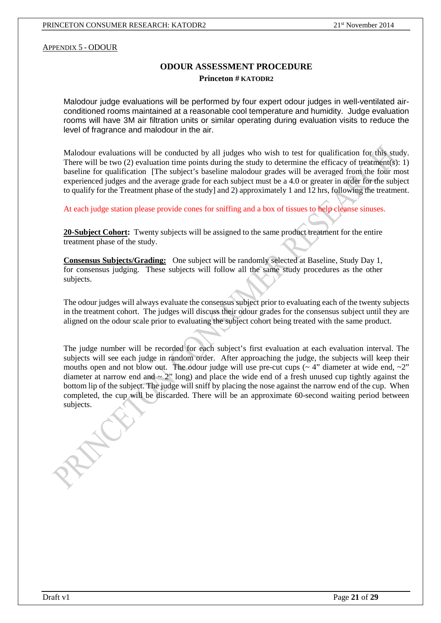<span id="page-20-0"></span>APPENDIX 5 - ODOUR

# **ODOUR ASSESSMENT PROCEDURE Princeton # KATODR2**

Malodour judge evaluations will be performed by four expert odour judges in well-ventilated airconditioned rooms maintained at a reasonable cool temperature and humidity. Judge evaluation rooms will have 3M air filtration units or similar operating during evaluation visits to reduce the level of fragrance and malodour in the air.

Malodour evaluations will be conducted by all judges who wish to test for qualification for this study. There will be two (2) evaluation time points during the study to determine the efficacy of treatment(s): 1) baseline for qualification [The subject's baseline malodour grades will be averaged from the four most experienced judges and the average grade for each subject must be a 4.0 or greater in order for the subject to qualify for the Treatment phase of the study] and 2) approximately 1 and 12 hrs, following the treatment.

At each judge station please provide cones for sniffing and a box of tissues to help cleanse sinuses.

**20-Subject Cohort:** Twenty subjects will be assigned to the same product treatment for the entire treatment phase of the study.

**Consensus Subjects/Grading:** One subject will be randomly selected at Baseline, Study Day 1, for consensus judging. These subjects will follow all the same study procedures as the other subjects.

The odour judges will always evaluate the consensus subject prior to evaluating each of the twenty subjects in the treatment cohort. The judges will discuss their odour grades for the consensus subject until they are aligned on the odour scale prior to evaluating the subject cohort being treated with the same product.

The judge number will be recorded for each subject's first evaluation at each evaluation interval. The subjects will see each judge in random order. After approaching the judge, the subjects will keep their mouths open and not blow out. The odour judge will use pre-cut cups ( $\sim$  4" diameter at wide end,  $\sim$ 2" diameter at narrow end and  $\sim$  2" long) and place the wide end of a fresh unused cup tightly against the bottom lip of the subject. The judge will sniff by placing the nose against the narrow end of the cup. When completed, the cup will be discarded. There will be an approximate 60-second waiting period between subjects.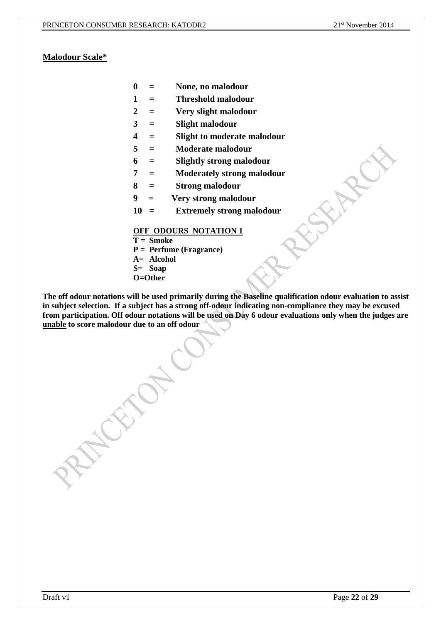# **Malodour Scale\***

- **0 = None, no malodour**
- **1 = Threshold malodour**
- **2 = Very slight malodour**
- **3 = Slight malodour**
- **4 = Slight to moderate malodour**
- **5 = Moderate malodour**
- **6 = Slightly strong malodour**
- **7 = Moderately strong malodour**
- **8 = Strong malodour**
- **9 = Very strong malodour**
- **10 = Extremely strong malodour**

# **OFF ODOURS NOTATION 1**

- **T = Smoke**
- **P = Perfume (Fragrance)**
- **A= Alcohol**
- **S= Soap**
- **O=Other**

**The off odour notations will be used primarily during the Baseline qualification odour evaluation to assist in subject selection. If a subject has a strong off-odour indicating non-compliance they may be excused from participation. Off odour notations will be used on Day 6 odour evaluations only when the judges are unable to score malodour due to an off odour**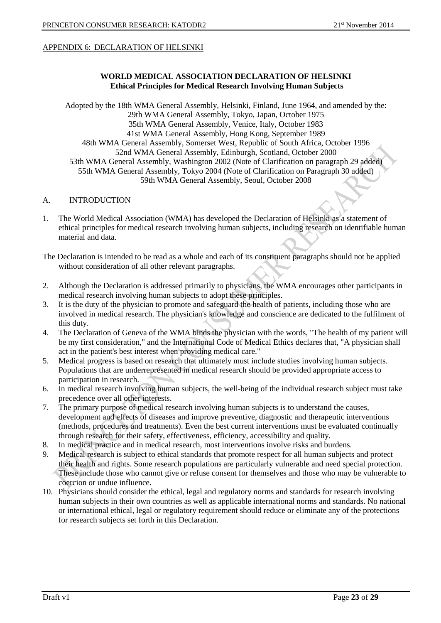# <span id="page-22-0"></span>APPENDIX 6: DECLARATION OF HELSINKI

# **WORLD MEDICAL ASSOCIATION DECLARATION OF HELSINKI Ethical Principles for Medical Research Involving Human Subjects**

Adopted by the 18th WMA General Assembly, Helsinki, Finland, June 1964, and amended by the: 29th WMA General Assembly, Tokyo, Japan, October 1975 35th WMA General Assembly, Venice, Italy, October 1983 41st WMA General Assembly, Hong Kong, September 1989 48th WMA General Assembly, Somerset West, Republic of South Africa, October 1996 52nd WMA General Assembly, Edinburgh, Scotland, October 2000 53th WMA General Assembly, Washington 2002 (Note of Clarification on paragraph 29 added) 55th WMA General Assembly, Tokyo 2004 (Note of Clarification on Paragraph 30 added) 59th WMA General Assembly, Seoul, October 2008

#### A. INTRODUCTION

- 1. The World Medical Association (WMA) has developed the Declaration of Helsinki as a statement of ethical principles for medical research involving human subjects, including research on identifiable human material and data.
- The Declaration is intended to be read as a whole and each of its constituent paragraphs should not be applied without consideration of all other relevant paragraphs.
- 2. Although the Declaration is addressed primarily to physicians, the WMA encourages other participants in medical research involving human subjects to adopt these principles.
- 3. It is the duty of the physician to promote and safeguard the health of patients, including those who are involved in medical research. The physician's knowledge and conscience are dedicated to the fulfilment of this duty.
- 4. The Declaration of Geneva of the WMA binds the physician with the words, "The health of my patient will be my first consideration," and the International Code of Medical Ethics declares that, "A physician shall act in the patient's best interest when providing medical care."
- 5. Medical progress is based on research that ultimately must include studies involving human subjects. Populations that are underrepresented in medical research should be provided appropriate access to participation in research.
- 6. In medical research involving human subjects, the well-being of the individual research subject must take precedence over all other interests.
- 7. The primary purpose of medical research involving human subjects is to understand the causes, development and effects of diseases and improve preventive, diagnostic and therapeutic interventions (methods, procedures and treatments). Even the best current interventions must be evaluated continually through research for their safety, effectiveness, efficiency, accessibility and quality.
- 8. In medical practice and in medical research, most interventions involve risks and burdens.
- 9. Medical research is subject to ethical standards that promote respect for all human subjects and protect their health and rights. Some research populations are particularly vulnerable and need special protection. These include those who cannot give or refuse consent for themselves and those who may be vulnerable to coercion or undue influence.
- 10. Physicians should consider the ethical, legal and regulatory norms and standards for research involving human subjects in their own countries as well as applicable international norms and standards. No national or international ethical, legal or regulatory requirement should reduce or eliminate any of the protections for research subjects set forth in this Declaration.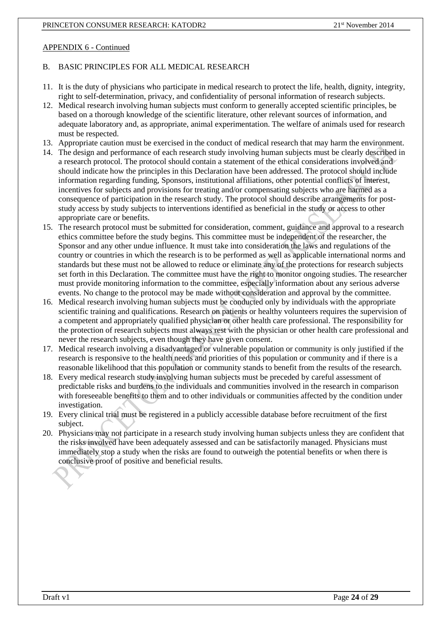## APPENDIX 6 - Continued

# B. BASIC PRINCIPLES FOR ALL MEDICAL RESEARCH

- 11. It is the duty of physicians who participate in medical research to protect the life, health, dignity, integrity, right to self-determination, privacy, and confidentiality of personal information of research subjects.
- 12. Medical research involving human subjects must conform to generally accepted scientific principles, be based on a thorough knowledge of the scientific literature, other relevant sources of information, and adequate laboratory and, as appropriate, animal experimentation. The welfare of animals used for research must be respected.
- 13. Appropriate caution must be exercised in the conduct of medical research that may harm the environment.
- 14. The design and performance of each research study involving human subjects must be clearly described in a research protocol. The protocol should contain a statement of the ethical considerations involved and should indicate how the principles in this Declaration have been addressed. The protocol should include information regarding funding, Sponsors, institutional affiliations, other potential conflicts of interest, incentives for subjects and provisions for treating and/or compensating subjects who are harmed as a consequence of participation in the research study. The protocol should describe arrangements for poststudy access by study subjects to interventions identified as beneficial in the study or access to other appropriate care or benefits.
- 15. The research protocol must be submitted for consideration, comment, guidance and approval to a research ethics committee before the study begins. This committee must be independent of the researcher, the Sponsor and any other undue influence. It must take into consideration the laws and regulations of the country or countries in which the research is to be performed as well as applicable international norms and standards but these must not be allowed to reduce or eliminate any of the protections for research subjects set forth in this Declaration. The committee must have the right to monitor ongoing studies. The researcher must provide monitoring information to the committee, especially information about any serious adverse events. No change to the protocol may be made without consideration and approval by the committee.
- 16. Medical research involving human subjects must be conducted only by individuals with the appropriate scientific training and qualifications. Research on patients or healthy volunteers requires the supervision of a competent and appropriately qualified physician or other health care professional. The responsibility for the protection of research subjects must always rest with the physician or other health care professional and never the research subjects, even though they have given consent.
- 17. Medical research involving a disadvantaged or vulnerable population or community is only justified if the research is responsive to the health needs and priorities of this population or community and if there is a reasonable likelihood that this population or community stands to benefit from the results of the research.
- 18. Every medical research study involving human subjects must be preceded by careful assessment of predictable risks and burdens to the individuals and communities involved in the research in comparison with foreseeable benefits to them and to other individuals or communities affected by the condition under investigation.
- 19. Every clinical trial must be registered in a publicly accessible database before recruitment of the first subject.
- 20. Physicians may not participate in a research study involving human subjects unless they are confident that the risks involved have been adequately assessed and can be satisfactorily managed. Physicians must immediately stop a study when the risks are found to outweigh the potential benefits or when there is conclusive proof of positive and beneficial results.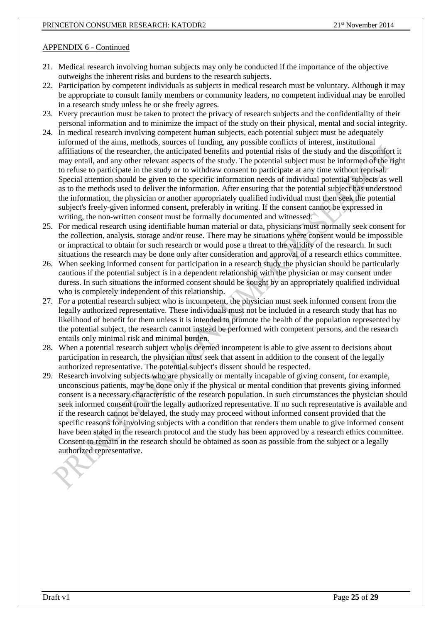# APPENDIX 6 - Continued

- 21. Medical research involving human subjects may only be conducted if the importance of the objective outweighs the inherent risks and burdens to the research subjects.
- 22. Participation by competent individuals as subjects in medical research must be voluntary. Although it may be appropriate to consult family members or community leaders, no competent individual may be enrolled in a research study unless he or she freely agrees.
- 23. Every precaution must be taken to protect the privacy of research subjects and the confidentiality of their personal information and to minimize the impact of the study on their physical, mental and social integrity.
- 24. In medical research involving competent human subjects, each potential subject must be adequately informed of the aims, methods, sources of funding, any possible conflicts of interest, institutional affiliations of the researcher, the anticipated benefits and potential risks of the study and the discomfort it may entail, and any other relevant aspects of the study. The potential subject must be informed of the right to refuse to participate in the study or to withdraw consent to participate at any time without reprisal. Special attention should be given to the specific information needs of individual potential subjects as well as to the methods used to deliver the information. After ensuring that the potential subject has understood the information, the physician or another appropriately qualified individual must then seek the potential subject's freely-given informed consent, preferably in writing. If the consent cannot be expressed in writing, the non-written consent must be formally documented and witnessed.
- 25. For medical research using identifiable human material or data, physicians must normally seek consent for the collection, analysis, storage and/or reuse. There may be situations where consent would be impossible or impractical to obtain for such research or would pose a threat to the validity of the research. In such situations the research may be done only after consideration and approval of a research ethics committee.
- 26. When seeking informed consent for participation in a research study the physician should be particularly cautious if the potential subject is in a dependent relationship with the physician or may consent under duress. In such situations the informed consent should be sought by an appropriately qualified individual who is completely independent of this relationship.
- 27. For a potential research subject who is incompetent, the physician must seek informed consent from the legally authorized representative. These individuals must not be included in a research study that has no likelihood of benefit for them unless it is intended to promote the health of the population represented by the potential subject, the research cannot instead be performed with competent persons, and the research entails only minimal risk and minimal burden.
- 28. When a potential research subject who is deemed incompetent is able to give assent to decisions about participation in research, the physician must seek that assent in addition to the consent of the legally authorized representative. The potential subject's dissent should be respected.
- 29. Research involving subjects who are physically or mentally incapable of giving consent, for example, unconscious patients, may be done only if the physical or mental condition that prevents giving informed consent is a necessary characteristic of the research population. In such circumstances the physician should seek informed consent from the legally authorized representative. If no such representative is available and if the research cannot be delayed, the study may proceed without informed consent provided that the specific reasons for involving subjects with a condition that renders them unable to give informed consent have been stated in the research protocol and the study has been approved by a research ethics committee. Consent to remain in the research should be obtained as soon as possible from the subject or a legally authorized representative.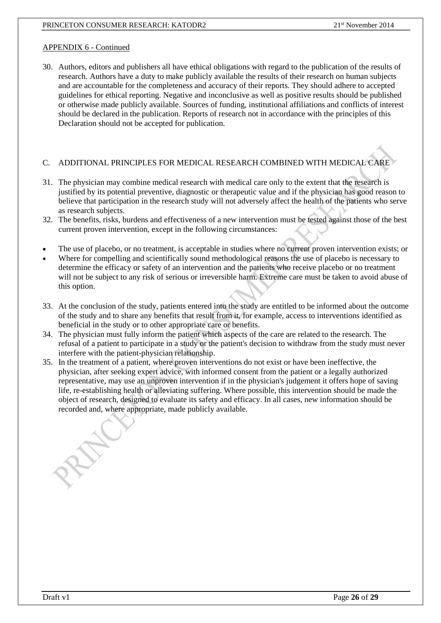### APPENDIX 6 - Continued

30. Authors, editors and publishers all have ethical obligations with regard to the publication of the results of research. Authors have a duty to make publicly available the results of their research on human subjects and are accountable for the completeness and accuracy of their reports. They should adhere to accepted guidelines for ethical reporting. Negative and inconclusive as well as positive results should be published or otherwise made publicly available. Sources of funding, institutional affiliations and conflicts of interest should be declared in the publication. Reports of research not in accordance with the principles of this Declaration should not be accepted for publication.

# C. ADDITIONAL PRINCIPLES FOR MEDICAL RESEARCH COMBINED WITH MEDICAL CARE

- 31. The physician may combine medical research with medical care only to the extent that the research is justified by its potential preventive, diagnostic or therapeutic value and if the physician has good reason to believe that participation in the research study will not adversely affect the health of the patients who serve as research subjects.
- 32. The benefits, risks, burdens and effectiveness of a new intervention must be tested against those of the best current proven intervention, except in the following circumstances:
- The use of placebo, or no treatment, is acceptable in studies where no current proven intervention exists; or
- Where for compelling and scientifically sound methodological reasons the use of placebo is necessary to determine the efficacy or safety of an intervention and the patients who receive placebo or no treatment will not be subject to any risk of serious or irreversible harm. Extreme care must be taken to avoid abuse of this option.
- 33. At the conclusion of the study, patients entered into the study are entitled to be informed about the outcome of the study and to share any benefits that result from it, for example, access to interventions identified as beneficial in the study or to other appropriate care or benefits.
- 34. The physician must fully inform the patient which aspects of the care are related to the research. The refusal of a patient to participate in a study or the patient's decision to withdraw from the study must never interfere with the patient-physician relationship.
- 35. In the treatment of a patient, where proven interventions do not exist or have been ineffective, the physician, after seeking expert advice, with informed consent from the patient or a legally authorized representative, may use an unproven intervention if in the physician's judgement it offers hope of saving life, re-establishing health or alleviating suffering. Where possible, this intervention should be made the object of research, designed to evaluate its safety and efficacy. In all cases, new information should be recorded and, where appropriate, made publicly available.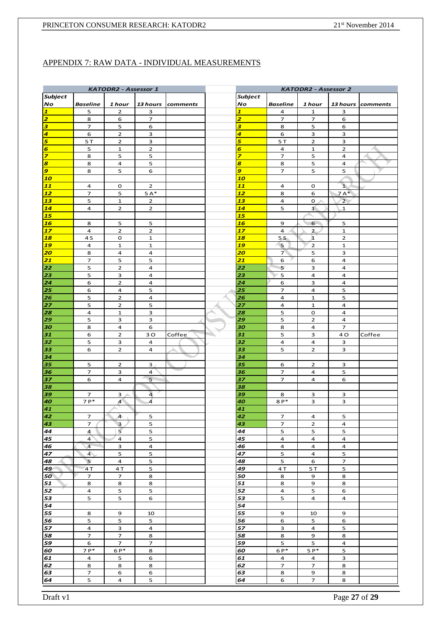# <span id="page-26-0"></span>APPENDIX 7: RAW DATA - INDIVIDUAL MEASUREMENTS

|                | <b>KATODR2 - Assessor 1</b> |                           |                         |                   |  | <b>KATODR2 - Assessor 2</b> |                           |                         |                     |                   |
|----------------|-----------------------------|---------------------------|-------------------------|-------------------|--|-----------------------------|---------------------------|-------------------------|---------------------|-------------------|
| <b>Subject</b> |                             |                           |                         |                   |  | <b>Subject</b>              |                           |                         |                     |                   |
| No             | <b>Baseline</b>             | 1 hour                    |                         | 13 hours comments |  | No                          | <b>Baseline</b>           | 1 hour                  |                     | 13 hours comments |
| $\mathbf{1}$   | 5                           | $\overline{2}$            | 3                       |                   |  | 1                           | 4                         | 1                       | 3                   |                   |
| 2              | 8                           | 6                         | 7                       |                   |  | $\overline{2}$              | $\overline{7}$            | $\overline{7}$          | 6                   |                   |
| з              | 7                           | ${\mathsf 5}$             | 6                       |                   |  | 3                           | 8                         | 5                       | 6                   |                   |
| 4              | 6                           | $\overline{2}$            | 3                       |                   |  | 4                           | 6                         | 3                       | 3                   |                   |
| 5              | 5 T                         | $\overline{2}$            | 3                       |                   |  | 5                           | 5 T                       | $\overline{2}$          | 3                   |                   |
| 6              | 5                           | $\mathbf{1}$              | $\overline{2}$          |                   |  | 6                           | 4                         | $\mathbf{1}$            | $\mathbf 2$         |                   |
| 7              | 8                           | 5                         | 5                       |                   |  | 7                           | 7                         | 5                       | 4                   |                   |
| 8              | 8                           | $\overline{\mathbf{r}}$   | 5                       |                   |  | 8                           | 8                         | $\overline{\mathbf{5}}$ | 4                   |                   |
| 9              | 8                           | ${\mathsf 5}$             | 6                       |                   |  | $\boldsymbol{g}$            | 7                         | 5                       | 5                   |                   |
| <u> 10</u>     |                             |                           |                         |                   |  | 10                          |                           |                         |                     |                   |
| <u> 11</u>     | 4                           | 0                         | $\overline{2}$          |                   |  | 11                          | 4                         | 0                       | $\mathbf{1}$        |                   |
| 12             | 7                           | 5                         | $5A*$                   |                   |  | 12                          | 8                         | 6                       | 7 A*                |                   |
| 13             | 5                           | $\mathbf{1}$              | $\overline{2}$          |                   |  | 13                          | 4                         | 0                       | 2 <sup>1</sup>      |                   |
| 14             | 4                           | $\overline{2}$            | $\overline{2}$          |                   |  | 14                          | 5                         | $\mathbf{1}$            | $\lambda$           |                   |
| 15             |                             |                           |                         |                   |  | 15                          |                           |                         |                     |                   |
| 16             | 8                           | ${\mathsf 5}$             | ${\mathbf 5}$           |                   |  | 16                          | 9                         | 6                       | 5                   |                   |
| 17             | 4                           | $\overline{2}$            | $\overline{2}$          |                   |  | 17                          | 4                         | $\mathbf{2}$            | $\mathbf{1}$        |                   |
| 18             | 4 S                         | O                         | $\mathbf{1}$            |                   |  | 18                          | 5 S                       | $\mathbf{1}$            | $\overline{2}$      |                   |
| 19             | 4                           | $\mathbf{1}$              | $\mathbf{1}$            |                   |  | 19                          | 5                         | $\overline{2}$          | 1                   |                   |
| 20             | 8                           | $\overline{a}$            | 4                       |                   |  | 20                          | 7                         | 5                       | 3                   |                   |
| 21             | 7                           | 5                         | 5                       |                   |  | 21                          |                           | 6                       | 4                   |                   |
|                |                             |                           |                         |                   |  | 22                          | 6                         |                         |                     |                   |
| 22             | 5                           | $\overline{2}$            | 4                       |                   |  |                             | 5                         | 3                       | 4                   |                   |
| 23<br>24       | 5                           | 3                         | 4                       |                   |  | 23<br>24                    | 5                         | 4                       | 4                   |                   |
|                | 6                           | $\overline{2}$            | $\overline{a}$          |                   |  |                             | 6                         | 3                       | 4                   |                   |
| 25             | 6<br>5                      | 4<br>$\overline{2}$       | 5                       |                   |  | 25                          | 7                         | 4                       | 5                   |                   |
| 26             |                             |                           | 4                       |                   |  | 26                          | 4                         | $\mathbf{1}$            | 5                   |                   |
| 27             | 5                           | $\overline{2}$            | 5                       |                   |  | 27                          | 4                         | $\mathbf{1}$            | 4                   |                   |
| 28             | 4                           | $\mathbf{1}$              | 3                       |                   |  | 28<br>29                    | 5                         | 0                       | 4                   |                   |
| 29             | 5<br>8                      | 3<br>$\overline{4}$       | 3<br>6                  |                   |  | 30                          | 5                         | $\overline{2}$<br>4     | 4<br>$\overline{7}$ |                   |
| 30<br>31       | 6                           | $\overline{2}$            |                         |                   |  | 31                          | 8<br>${\mathbf 5}$        |                         |                     | Coffee            |
| 32             | 5                           | з                         | 3 O<br>4                | Coffee            |  | 32                          | 4                         | 3<br>4                  | 4 O<br>3            |                   |
| 33             | 6                           | $\overline{2}$            | 4                       |                   |  | 33                          | 5                         | $\overline{2}$          | 3                   |                   |
| 34             |                             |                           |                         |                   |  | 34                          |                           |                         |                     |                   |
| 35             | 5                           | $\overline{2}$            | 3                       |                   |  | 35                          | 6                         | $\overline{2}$          | 3                   |                   |
| 36             | $\overline{\phantom{a}}$    | 3                         | 4                       |                   |  | 36                          | $\overline{7}$            | 4                       | 5                   |                   |
| 37             | 6                           | 4                         | 5                       |                   |  | 37                          | 7                         | 4                       | 6                   |                   |
| 38             |                             |                           |                         |                   |  | 38                          |                           |                         |                     |                   |
| 39             | 7                           | 3                         | $\overline{4}$          |                   |  | 39                          | 8                         | 3                       | 3                   |                   |
| 40             | $7P*$                       | $\overline{4}$            | 4                       |                   |  | 40                          | $8P*$                     | 3                       | 3                   |                   |
| 41             |                             |                           |                         |                   |  | 41                          |                           |                         |                     |                   |
| 42             | $\overline{7}$              | $\overline{a}$            | 5                       |                   |  | 42                          | $\overline{z}$            | 4                       | 5                   |                   |
| 43             | 7                           | $\mathbf{3}$              | ${\mathbf 5}$           |                   |  | 43                          | 7                         | $\overline{2}$          | 4                   |                   |
| 44             | 4                           | 5                         | 5                       |                   |  | 44                          | 5                         | 5                       | 5                   |                   |
| 45             | 4                           | 4                         | 5                       |                   |  | $\overline{45}$             | 4                         | $\overline{4}$          | 4                   |                   |
| 46             | $\overline{4}$              | $\ensuremath{\mathsf{3}}$ | $\overline{\mathbf{4}}$ |                   |  | 46                          | 4                         | 4                       | 4                   |                   |
| 47             | $\bar{4}$                   | 5                         | 5                       |                   |  | 47                          | 5                         | 4                       | 5                   |                   |
| 48             | $\mathbf{5}^{\prime}$       | $\overline{\mathbf{4}}$   | 5                       |                   |  | 48                          | 5                         | $\mathbf 6$             | $\overline{7}$      |                   |
| 49             | 4 T                         | 4 T                       | ${\mathbf 5}$           |                   |  | 49                          | 4T                        | 5T                      | 5                   |                   |
| 50             | $\overline{7}$              | $\overline{7}$            | 8                       |                   |  | 50                          | 8                         | 9                       | 8                   |                   |
| 51             | 8                           | 8                         | $\bf8$                  |                   |  | 51                          | 8                         | $\boldsymbol{9}$        | 8                   |                   |
| 52             | 4                           | ${\mathbf 5}$             | 5                       |                   |  | 52                          | 4                         | 5                       | 6                   |                   |
| 53             | 5                           | ${\mathsf 5}$             | 6                       |                   |  | 53                          | 5                         | 4                       | 4                   |                   |
| 54             |                             |                           |                         |                   |  | 54                          |                           |                         |                     |                   |
| 55             | 8                           | 9                         | 10                      |                   |  | 55                          | 9                         | 10                      | 9                   |                   |
| 56             | 5                           | ${\mathsf 5}$             | $\mathbf{5}$            |                   |  | 56                          | $\boldsymbol{6}$          | $\mathbf{5}$            | 6                   |                   |
| 57             | 4                           | $\ensuremath{\mathsf{3}}$ | $\overline{4}$          |                   |  | 57                          | $\ensuremath{\mathsf{3}}$ | 4                       | ${\mathsf 5}$       |                   |
| 58             | $\overline{\phantom{a}}$    | $\overline{7}$            | 8                       |                   |  | 58                          | 8                         | 9                       | 8                   |                   |
| 59             | 6                           | $\overline{7}$            | 7                       |                   |  | 59                          | $\overline{\mathbf{5}}$   | 5                       | 4                   |                   |
| 60             | $7P*$                       | $6P*$                     | 8                       |                   |  | 60                          | $6P*$                     | $5P*$                   | 5                   |                   |
| 61             | 4                           | 5                         | 6                       |                   |  | 61                          | 4                         | 4                       | 3                   |                   |
| 62             | 8                           | 8                         | 8                       |                   |  | 62                          | 7                         | 7                       | 8                   |                   |
| 63             | 7                           | 6                         | 6                       |                   |  | 63                          | $\bf8$                    | 9                       | 8                   |                   |
| 64             | 5                           | 4                         | 5                       |                   |  | 64                          | 6                         | $\overline{7}$          | 8                   |                   |

Draft v1 Page 27 of 29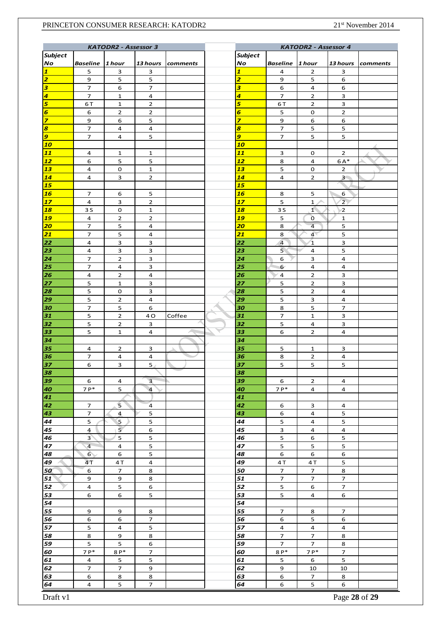# PRINCETON CONSUMER RESEARCH: KATODR2 21st November 2014

|                                      |                         | <b>KATODR2 - Assessor 3</b> |                           |          | <b>KATODR2 - Assessor 4</b> |                |                           |                         |                           |          |
|--------------------------------------|-------------------------|-----------------------------|---------------------------|----------|-----------------------------|----------------|---------------------------|-------------------------|---------------------------|----------|
| <b>Subject</b>                       |                         |                             |                           |          |                             | <b>Subject</b> |                           |                         |                           |          |
| No                                   | Baseline 1 hour         |                             | 13 hours                  | comments |                             | No             | <b>Baseline</b> 1 hour    |                         | 13 hours                  | comments |
| $\mathbf{1}$                         | 5                       | 3                           | 3                         |          |                             | 1              | 4                         | 2                       | 3                         |          |
| $\overline{z}$                       | 9                       | 5                           | 5                         |          |                             | $\overline{z}$ | 9                         | 5                       | 6                         |          |
| $\overline{\boldsymbol{\mathsf{3}}}$ | $\overline{7}$          | 6                           | $\overline{7}$            |          |                             | 3              | 6                         | 4                       | 6                         |          |
| $\overline{4}$                       | $\overline{7}$          | $\mathbf 1$                 | 4                         |          |                             | 4              | $\overline{7}$            | $\overline{2}$          | 3                         |          |
| 5                                    | 6T                      | $\mathbf 1$                 | $\overline{2}$            |          |                             | 5              | 6 T                       | $\overline{2}$          | 3                         |          |
| $\boldsymbol{6}$                     | 6                       | $\mathbf{2}$                | $\overline{2}$            |          |                             | 6              | 5                         |                         | $\overline{2}$            |          |
|                                      |                         |                             |                           |          |                             |                |                           | 0                       |                           |          |
| $\overline{\mathbf{z}}$              | 9                       | 6                           | 5                         |          |                             | 7              | 9                         | 6                       | 6                         |          |
| $\boldsymbol{s}$                     | $\overline{7}$          | 4                           | 4                         |          |                             | 8              | $\overline{7}$            | 5                       | 5                         |          |
| $\boldsymbol{g}$                     | $\overline{7}$          | 4                           | 5                         |          |                             | 9              | $\overline{7}$            | 5                       | 5                         |          |
| <b>10</b>                            |                         |                             |                           |          |                             | 10             |                           |                         |                           |          |
| 11                                   | 4                       | $\mathbf{1}$                | $\mathbf{1}$              |          |                             | 11             | $\ensuremath{\mathsf{3}}$ | 0                       | $\overline{2}$            |          |
| <u>12</u>                            | 6                       | 5                           | 5                         |          |                             | 12             | 8                         | 4                       | $6A*$                     |          |
| 13                                   | 4                       | 0                           | 1                         |          |                             | 13             | 5                         | 0                       | $\overline{2}$            |          |
| 14                                   | 4                       | 3                           | $\overline{2}$            |          |                             | 14             | $\overline{4}$            | $\overline{2}$          | 3 <sup>2</sup>            |          |
| 15                                   |                         |                             |                           |          |                             | 15             |                           |                         |                           |          |
| <b>16</b>                            | $\overline{7}$          | 6                           | 5                         |          |                             | 16             | 8                         | 5                       | 6                         |          |
| 17                                   | 4                       | 3                           | $\overline{2}$            |          |                             | 17             | 5                         | $\mathbf{1}$            | $\overline{2}$            |          |
| <b>18</b>                            | 3 S                     | $\mathbf 0$                 | 1                         |          |                             | 18             | 3S                        | $\mathbf{1}$            | 2                         |          |
|                                      |                         |                             |                           |          |                             | 19             |                           |                         |                           |          |
| 19                                   | 4                       | $\overline{2}$              | $\overline{2}$            |          |                             |                | 5                         | O                       | $\mathbf{1}$              |          |
| 20                                   | 7                       | 5                           | 4                         |          |                             | 20             | 8                         | $\overline{4}$          | 5                         |          |
| 21                                   | $\overline{7}$          | 5                           | 4                         |          |                             | 21             | 8                         | $\overline{4}$          | 5                         |          |
| 22                                   | $\overline{a}$          | $\overline{\mathbf{3}}$     | 3                         |          |                             | 22             | $\overline{4}$            | $\mathbf{1}$            | 3                         |          |
| 23                                   | $\overline{\mathbf{4}}$ | 3                           | $\ensuremath{\mathsf{3}}$ |          |                             | 23             | $\overline{5}$            | 4                       | 5                         |          |
| 24                                   | $\overline{7}$          | $\mathbf{2}$                | 3                         |          |                             | 24             | 6                         | 3                       | 4                         |          |
| 25                                   | $\overline{7}$          | 4                           | 3                         |          |                             | 25             | 6                         | 4                       | 4                         |          |
| 26                                   | 4                       | $\overline{2}$              | 4                         |          |                             | 26             | $\overline{4}$            | $\overline{2}$          | 3                         |          |
| 27                                   | 5                       | $\mathbf 1$                 | 3                         |          |                             | 27             | 5                         | $\overline{2}$          | 3                         |          |
| 28                                   | 5                       | 0                           | 3                         |          |                             | 28             | 5                         | $\overline{2}$          | 4                         |          |
| 29                                   | 5                       | $\mathbf 2$                 | 4                         |          |                             | 29             | 5                         | 3                       | 4                         |          |
| 30                                   | $\overline{7}$          | ${\mathsf 5}$               | 6                         |          |                             | 30             | 8                         | 5                       | 7                         |          |
|                                      |                         |                             |                           |          |                             |                |                           |                         |                           |          |
| 31                                   | 5                       | $\overline{2}$              | 4 <sub>O</sub>            | Coffee   |                             | 31             | $\overline{7}$            | 1                       | 3                         |          |
| 32                                   | 5                       | $\mathbf 2$                 | 3                         |          |                             | 32             | 5                         | 4                       | $\mathbf{3}$              |          |
| 33                                   | 5                       | $\mathbf 1$                 | 4                         |          |                             | 33             | 6                         | $\overline{2}$          | 4                         |          |
| 34                                   |                         |                             |                           |          |                             | 34             |                           |                         |                           |          |
| 35                                   | 4                       | $\overline{2}$              | $\ensuremath{\mathsf{3}}$ |          |                             | 35             | 5                         | $\mathbf 1$             | $\ensuremath{\mathsf{3}}$ |          |
| 36                                   | $\overline{7}$          | 4                           | 4                         |          |                             | 36             | 8                         | $\overline{2}$          | $\overline{4}$            |          |
| 37                                   | 6                       | 3                           | 5 <sub>1</sub>            |          |                             | 37             | 5                         | 5                       | 5                         |          |
| 38                                   |                         |                             |                           |          |                             | 38             |                           |                         |                           |          |
| 39                                   | 6                       | 4                           | $\overline{\mathbf{3}}$   |          |                             | 39             | 6                         | 2                       | 4                         |          |
| 40                                   | $7P*$                   | 5                           | $\overline{4}$            |          |                             | 40             | $7P*$                     | 4                       | 4                         |          |
| 41                                   |                         |                             |                           |          |                             | 41             |                           |                         |                           |          |
| 42                                   | 7                       | 5                           | $\overline{4}$            |          |                             | 42             | 6                         | 3                       | 4                         |          |
|                                      |                         |                             |                           |          |                             |                |                           |                         |                           |          |
| 43                                   | 7                       | $\overline{\mathbf{4}}$     | 5                         |          |                             | 43             | 6                         | 4                       | 5                         |          |
| 44                                   | 5                       | 5                           | 5                         |          |                             | 44             | 5                         | 4                       | 5                         |          |
| 45                                   | $\overline{4}$          | $\overline{\mathbf{5}}$     | $\,$ 6 $\,$               |          |                             | 45             | 3                         | 4                       | 4                         |          |
| 46                                   | $\overline{3}$          | 5                           | 5                         |          |                             | 46             | 5                         | 6                       | 5                         |          |
| 47                                   | $\overline{4}$          | 4                           | 5                         |          |                             | 47             | 5                         | 5                       | 5                         |          |
| 48                                   | $6 \degree$             | 6                           | 5                         |          |                             | 48             | $\,$ 6 $\,$               | 6                       | 6                         |          |
| 49                                   | 4 <sup>†</sup>          | 4 T                         | 4                         |          |                             | 49             | 4T                        | 4 T                     | 5                         |          |
| 50                                   | 6                       | $\overline{7}$              | 8                         |          |                             | 50             | $\overline{7}$            | $\overline{7}$          | 8                         |          |
| 51                                   | 9                       | $\boldsymbol{9}$            | 8                         |          |                             | 51             | $\overline{7}$            | $\overline{7}$          | $\overline{7}$            |          |
| 52                                   | $\pmb{4}$               | 5                           | $\,$ 6 $\,$               |          |                             | 52             | 5                         | 6                       | $\overline{\mathbf{7}}$   |          |
| 53                                   | 6                       | 6                           | 5                         |          |                             | 53             | 5                         | $\overline{\mathbf{4}}$ | $\boldsymbol{6}$          |          |
| 54                                   |                         |                             |                           |          |                             | 54             |                           |                         |                           |          |
| 55                                   | 9                       | 9                           | 8                         |          |                             | 55             | 7                         | 8                       | 7                         |          |
|                                      |                         |                             |                           |          |                             |                |                           |                         |                           |          |
| 56                                   | $\,6\,$                 | 6                           | $\overline{7}$            |          |                             | 56             | 6                         | 5                       | 6                         |          |
| 57                                   | 5                       | 4                           | 5                         |          |                             | 57             | $\overline{4}$            | 4                       | 4                         |          |
| 58                                   | $\bf 8$                 | 9                           | 8                         |          |                             | 58             | $\overline{7}$            | $\overline{7}$          | 8                         |          |
| 59                                   | 5                       | 5                           | 6                         |          |                             | 59             | $\overline{\phantom{a}}$  | $\overline{\mathbf{z}}$ | 8                         |          |
| 60                                   | $7P*$                   | $8P*$                       | $\overline{7}$            |          |                             | 60             | $8P*$                     | $7P*$                   | $\overline{\mathbf{z}}$   |          |
| 61                                   | 4                       | 5                           | 5                         |          |                             | 61             | 5                         | 6                       | 5                         |          |
| 62                                   | $\overline{7}$          | $\overline{\mathbf{z}}$     | 9                         |          |                             | 62             | 9                         | 10                      | 10                        |          |
| 63                                   | 6                       | 8                           | 8                         |          |                             | 63             | 6                         | $\overline{7}$          | 8                         |          |
| 64                                   | 4                       | 5                           | $\overline{7}$            |          |                             | 64             | 6                         | 5                       | 6                         |          |
|                                      |                         |                             |                           |          |                             |                |                           |                         |                           |          |